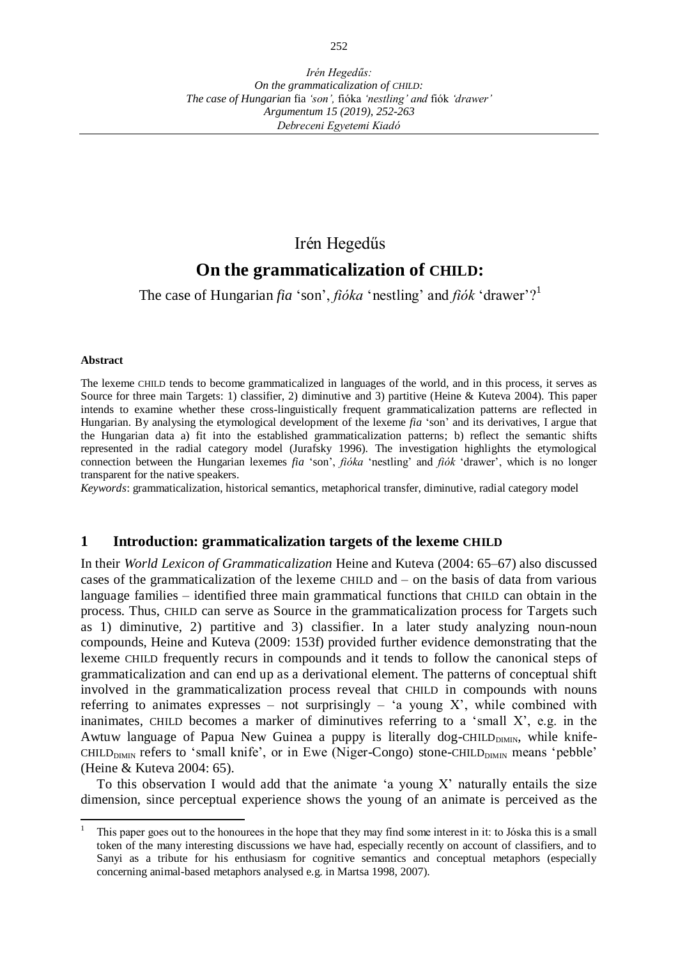## Irén Hegedűs

# **On the grammaticalization of CHILD:**

The case of Hungarian *fia* 'son', *fióka* 'nestling' and *fiók* 'drawer'?<sup>1</sup>

#### **Abstract**

The lexeme CHILD tends to become grammaticalized in languages of the world, and in this process, it serves as Source for three main Targets: 1) classifier, 2) diminutive and 3) partitive (Heine & Kuteva 2004). This paper intends to examine whether these cross-linguistically frequent grammaticalization patterns are reflected in Hungarian. By analysing the etymological development of the lexeme *fia* 'son' and its derivatives, I argue that the Hungarian data a) fit into the established grammaticalization patterns; b) reflect the semantic shifts represented in the radial category model (Jurafsky 1996). The investigation highlights the etymological connection between the Hungarian lexemes *fia* 'son', *fióka* 'nestling' and *fiók* 'drawer', which is no longer transparent for the native speakers.

*Keywords*: grammaticalization, historical semantics, metaphorical transfer, diminutive, radial category model

### **1 Introduction: grammaticalization targets of the lexeme CHILD**

In their *World Lexicon of Grammaticalization* Heine and Kuteva (2004: 65–67) also discussed cases of the grammaticalization of the lexeme CHILD and – on the basis of data from various language families – identified three main grammatical functions that CHILD can obtain in the process. Thus, CHILD can serve as Source in the grammaticalization process for Targets such as 1) diminutive, 2) partitive and 3) classifier. In a later study analyzing noun-noun compounds, Heine and Kuteva (2009: 153f) provided further evidence demonstrating that the lexeme CHILD frequently recurs in compounds and it tends to follow the canonical steps of grammaticalization and can end up as a derivational element. The patterns of conceptual shift involved in the grammaticalization process reveal that CHILD in compounds with nouns referring to animates expresses – not surprisingly – 'a young X', while combined with inanimates, CHILD becomes a marker of diminutives referring to a 'small X', e.g. in the Awtuw language of Papua New Guinea a puppy is literally dog-CHILD $_{\text{DIMIN}}$ , while knife- $CHILD<sub>DIMIN</sub>$  refers to 'small knife', or in Ewe (Niger-Congo) stone-CHILD $_{DIMIN}$  means 'pebble' (Heine & Kuteva 2004: 65).

To this observation I would add that the animate 'a young  $X$ ' naturally entails the size dimension, since perceptual experience shows the young of an animate is perceived as the

 $\overline{a}$ 1 This paper goes out to the honourees in the hope that they may find some interest in it: to Jóska this is a small token of the many interesting discussions we have had, especially recently on account of classifiers, and to Sanyi as a tribute for his enthusiasm for cognitive semantics and conceptual metaphors (especially concerning animal-based metaphors analysed e.g. in Martsa 1998, 2007).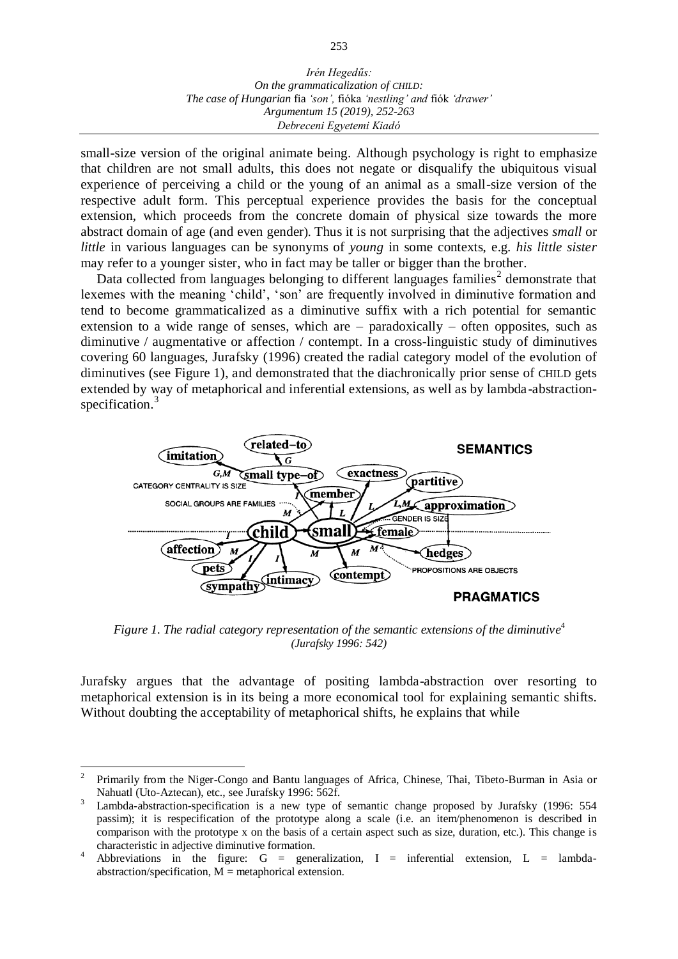small-size version of the original animate being. Although psychology is right to emphasize that children are not small adults, this does not negate or disqualify the ubiquitous visual experience of perceiving a child or the young of an animal as a small-size version of the respective adult form. This perceptual experience provides the basis for the conceptual extension, which proceeds from the concrete domain of physical size towards the more abstract domain of age (and even gender). Thus it is not surprising that the adjectives *small* or *little* in various languages can be synonyms of *young* in some contexts, e.g. *his little sister* may refer to a younger sister, who in fact may be taller or bigger than the brother.

Data collected from languages belonging to different languages families<sup>2</sup> demonstrate that lexemes with the meaning 'child', 'son' are frequently involved in diminutive formation and tend to become grammaticalized as a diminutive suffix with a rich potential for semantic extension to a wide range of senses, which are – paradoxically – often opposites, such as diminutive / augmentative or affection / contempt. In a cross-linguistic study of diminutives covering 60 languages, Jurafsky (1996) created the radial category model of the evolution of diminutives (see Figure 1), and demonstrated that the diachronically prior sense of CHILD gets extended by way of metaphorical and inferential extensions, as well as by lambda-abstractionspecification.<sup>3</sup>



Figure 1. The radial category representation of the semantic extensions of the diminutive<sup>4</sup> *(Jurafsky 1996: 542)*

Jurafsky argues that the advantage of positing lambda-abstraction over resorting to metaphorical extension is in its being a more economical tool for explaining semantic shifts. Without doubting the acceptability of metaphorical shifts, he explains that while

l 2 Primarily from the Niger-Congo and Bantu languages of Africa, Chinese, Thai, Tibeto-Burman in Asia or Nahuatl (Uto-Aztecan), etc., see Jurafsky 1996: 562f.

<sup>3</sup> Lambda-abstraction-specification is a new type of semantic change proposed by Jurafsky (1996: 554 passim); it is respecification of the prototype along a scale (i.e. an item/phenomenon is described in comparison with the prototype x on the basis of a certain aspect such as size, duration, etc.). This change is characteristic in adjective diminutive formation.

<sup>4</sup> Abbreviations in the figure:  $G =$  generalization,  $I =$  inferential extension,  $L =$  lambdaabstraction/specification,  $M =$  metaphorical extension.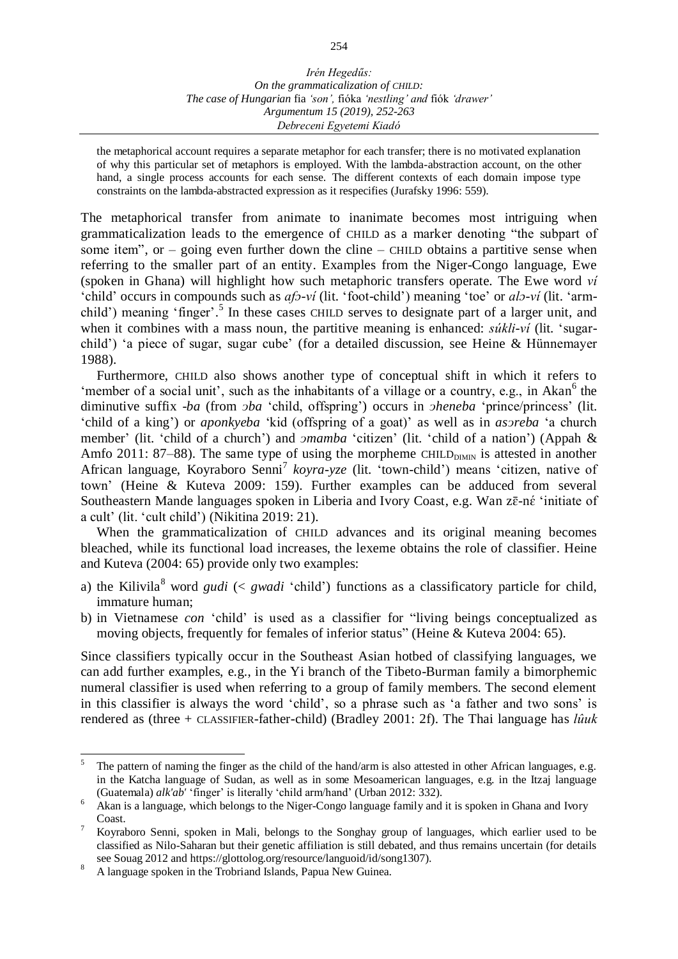*The case of Hungarian* fia *'son',* fióka *'nestling' and* fiók *'drawer' Argumentum 15 (2019), 252-263 Debreceni Egyetemi Kiadó*

the metaphorical account requires a separate metaphor for each transfer; there is no motivated explanation of why this particular set of metaphors is employed. With the lambda-abstraction account, on the other hand, a single process accounts for each sense. The different contexts of each domain impose type constraints on the lambda-abstracted expression as it respecifies (Jurafsky 1996: 559).

The metaphorical transfer from animate to inanimate becomes most intriguing when grammaticalization leads to the emergence of CHILD as a marker denoting "the subpart of some item", or  $-$  going even further down the cline  $-$  CHILD obtains a partitive sense when referring to the smaller part of an entity. Examples from the Niger-Congo language, Ewe (spoken in Ghana) will highlight how such metaphoric transfers operate. The Ewe word *ví*  'child' occurs in compounds such as *afɔ-ví* (lit. 'foot-child') meaning 'toe' or *alɔ-ví* (lit. 'armchild') meaning 'finger'.<sup>5</sup> In these cases CHILD serves to designate part of a larger unit, and when it combines with a mass noun, the partitive meaning is enhanced: *sukli-vi* (lit. 'sugarchild') 'a piece of sugar, sugar cube' (for a detailed discussion, see Heine & Hünnemayer 1988).

Furthermore, CHILD also shows another type of conceptual shift in which it refers to 'member of a social unit', such as the inhabitants of a village or a country, e.g., in Akan $<sup>6</sup>$  the</sup> diminutive suffix *-ba* (from *pba* 'child, offspring') occurs in *pheneba* 'prince/princess' (lit. 'child of a king') or *aponkyeba* 'kid (offspring of a goat)' as well as in *asᴐreba* 'a church member' (lit. 'child of a church') and *pmamba* 'citizen' (lit. 'child of a nation') (Appah & Amfo 2011: 87–88). The same type of using the morpheme CHILD<sub>DIMIN</sub> is attested in another African language, Koyraboro Senni<sup>7</sup> koyra-yze (lit. 'town-child') means 'citizen, native of town' (Heine & Kuteva 2009: 159). Further examples can be adduced from several Southeastern Mande languages spoken in Liberia and Ivory Coast, e.g. Wan zē-né 'initiate of a cult' (lit. 'cult child') (Nikitina 2019: 21).

When the grammaticalization of CHILD advances and its original meaning becomes bleached, while its functional load increases, the lexeme obtains the role of classifier. Heine and Kuteva (2004: 65) provide only two examples:

- a) the Kilivila<sup>8</sup> word *gudi*  $\langle \leq gwadi \rangle$  functions as a classificatory particle for child, immature human;
- b) in Vietnamese *con* 'child' is used as a classifier for "living beings conceptualized as moving objects, frequently for females of inferior status" (Heine & Kuteva 2004: 65).

Since classifiers typically occur in the Southeast Asian hotbed of classifying languages, we can add further examples, e.g., in the Yi branch of the Tibeto-Burman family a bimorphemic numeral classifier is used when referring to a group of family members. The second element in this classifier is always the word 'child', so a phrase such as 'a father and two sons' is rendered as (three + CLASSIFIER-father-child) (Bradley 2001: 2f). The Thai language has *lûuk* 

 $\overline{a}$ 5 The pattern of naming the finger as the child of the hand/arm is also attested in other African languages, e.g. in the Katcha language of Sudan, as well as in some Mesoamerican languages, e.g. in the Itzaj language (Guatemala) *alk'ab'* 'finger' is literally 'child arm/hand' (Urban 2012: 332).

<sup>6</sup> Akan is a language, which belongs to the Niger-Congo language family and it is spoken in Ghana and Ivory Coast.

<sup>7</sup> Koyraboro Senni, spoken in Mali, belongs to the Songhay group of languages, which earlier used to be classified as Nilo-Saharan but their genetic affiliation is still debated, and thus remains uncertain (for details see Souag 2012 and https://glottolog.org/resource/languoid/id/song1307).

<sup>8</sup> A language spoken in the Trobriand Islands, Papua New Guinea.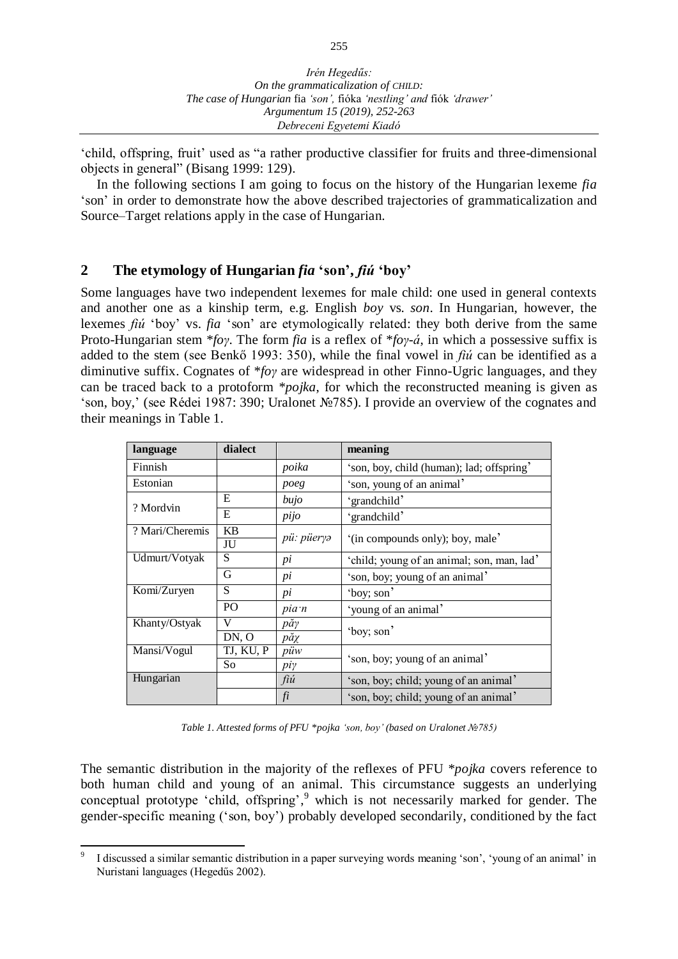'child, offspring, fruit' used as "a rather productive classifier for fruits and three-dimensional objects in general" (Bisang 1999: 129).

In the following sections I am going to focus on the history of the Hungarian lexeme *fia* 'son' in order to demonstrate how the above described trajectories of grammaticalization and Source–Target relations apply in the case of Hungarian.

### **2 The etymology of Hungarian** *fia* **'son',** *fiú* **'boy'**

Some languages have two independent lexemes for male child: one used in general contexts and another one as a kinship term, e.g. English *boy* vs. *son*. In Hungarian, however, the lexemes *fiú* 'boy' vs. *fia* 'son' are etymologically related: they both derive from the same Proto-Hungarian stem \**foγ*. The form *fia* is a reflex of \**foγ-á*, in which a possessive suffix is added to the stem (see Benkő 1993: 350), while the final vowel in *fiú* can be identified as a diminutive suffix. Cognates of \**foγ* are widespread in other Finno-Ugric languages, and they can be traced back to a protoform *\*pojka*, for which the reconstructed meaning is given as 'son, boy,' (see Rédei 1987: 390; Uralonet №785). I provide an overview of the cognates and their meanings in Table 1.

| language        | dialect        |                    | meaning                                    |
|-----------------|----------------|--------------------|--------------------------------------------|
| Finnish         |                | poika              | 'son, boy, child (human); lad; offspring'  |
| Estonian        |                | poeg               | 'son, young of an animal'                  |
| ? Mordvin       | E              | bujo               | 'grandchild'                               |
|                 | E              | pijo               | 'grandchild'                               |
| ? Mari/Cheremis | <b>KB</b>      | pü: püeryə         | '(in compounds only); boy, male'           |
|                 | JU             |                    |                                            |
| Udmurt/Votyak   | S              | pi                 | 'child; young of an animal; son, man, lad' |
|                 | G              | pi                 | 'son, boy; young of an animal'             |
| Komi/Zuryen     | S              | pi                 | 'boy; son'                                 |
|                 | P <sub>O</sub> | pia n              | 'young of an animal'                       |
| Khanty/Ostyak   | V              | $p\check{a}\gamma$ | 'boy; son'                                 |
|                 | DN, O          | păχ                |                                            |
| Mansi/Vogul     | TJ, KU, P      | püw                | 'son, boy; young of an animal'             |
|                 | So             | piγ                |                                            |
| Hungarian       |                | fiú                | 'son, boy; child; young of an animal'      |
|                 |                | fi                 | 'son, boy; child; young of an animal'      |

*Table 1. Attested forms of PFU \*pojka 'son, boy' (based on Uralonet №785)* 

The semantic distribution in the majority of the reflexes of PFU \**pojka* covers reference to both human child and young of an animal. This circumstance suggests an underlying conceptual prototype 'child, offspring', <sup>9</sup> which is not necessarily marked for gender. The gender-specific meaning ('son, boy') probably developed secondarily, conditioned by the fact

 $\overline{a}$ 9 I discussed a similar semantic distribution in a paper surveying words meaning 'son', 'young of an animal' in Nuristani languages (Hegedűs 2002).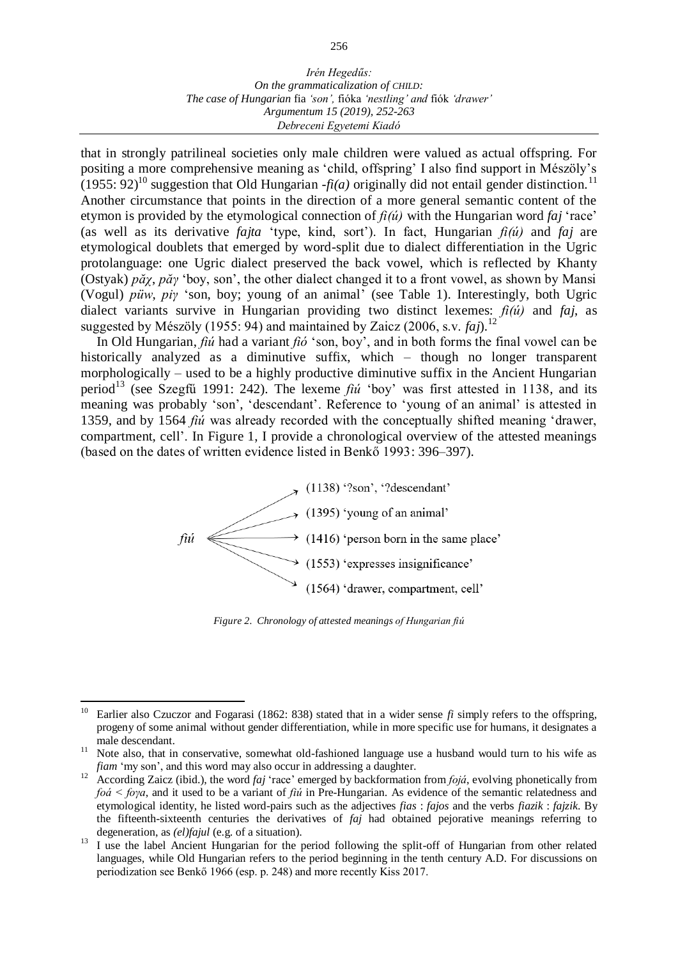that in strongly patrilineal societies only male children were valued as actual offspring. For positing a more comprehensive meaning as 'child, offspring' I also find support in Mészöly's  $(1955: 92)^{10}$  suggestion that Old Hungarian *-fi(a)* originally did not entail gender distinction.<sup>11</sup> Another circumstance that points in the direction of a more general semantic content of the etymon is provided by the etymological connection of *fi(ú)* with the Hungarian word *faj* 'race' (as well as its derivative *fajta* 'type, kind, sort'). In fact, Hungarian *fi(ú)* and *faj* are etymological doublets that emerged by word-split due to dialect differentiation in the Ugric protolanguage: one Ugric dialect preserved the back vowel, which is reflected by Khanty (Ostyak) *păχ*, *păγ* 'boy, son', the other dialect changed it to a front vowel, as shown by Mansi (Vogul) *püw*, *piγ* 'son, boy; young of an animal' (see Table 1). Interestingly, both Ugric dialect variants survive in Hungarian providing two distinct lexemes: *fi(ú)* and *faj*, as suggested by Mészöly (1955: 94) and maintained by Zaicz (2006, s.v. *faj*).<sup>12</sup>

In Old Hungarian, *fiú* had a variant *fió* 'son, boy', and in both forms the final vowel can be historically analyzed as a diminutive suffix, which – though no longer transparent morphologically – used to be a highly productive diminutive suffix in the Ancient Hungarian period<sup>13</sup> (see Szegfű 1991: 242). The lexeme  $f_i$ *ú* 'boy' was first attested in 1138, and its meaning was probably 'son', 'descendant'. Reference to 'young of an animal' is attested in 1359, and by 1564 *fiú* was already recorded with the conceptually shifted meaning 'drawer, compartment, cell'. In Figure 1, I provide a chronological overview of the attested meanings (based on the dates of written evidence listed in Benkő 1993: 396–397).



*Figure 2. Chronology of attested meanings of Hungarian fiú*

 $10\,$ <sup>10</sup> Earlier also Czuczor and Fogarasi (1862: 838) stated that in a wider sense *fi* simply refers to the offspring, progeny of some animal without gender differentiation, while in more specific use for humans, it designates a male descendant.

<sup>&</sup>lt;sup>11</sup> Note also, that in conservative, somewhat old-fashioned language use a husband would turn to his wife as *fiam* 'my son', and this word may also occur in addressing a daughter.

<sup>&</sup>lt;sup>12</sup> According Zaicz (ibid.), the word *faj* 'race' emerged by backformation from *fojá*, evolving phonetically from *foá < foγa*, and it used to be a variant of *fiú* in Pre-Hungarian. As evidence of the semantic relatedness and etymological identity, he listed word-pairs such as the adjectives *fias* : *fajos* and the verbs *fiazik* : *fajzik*. By the fifteenth-sixteenth centuries the derivatives of *faj* had obtained pejorative meanings referring to degeneration, as *(el)fajul* (e.g. of a situation).

<sup>&</sup>lt;sup>13</sup> I use the label Ancient Hungarian for the period following the split-off of Hungarian from other related languages, while Old Hungarian refers to the period beginning in the tenth century A.D. For discussions on periodization see Benkő 1966 (esp. p. 248) and more recently Kiss 2017.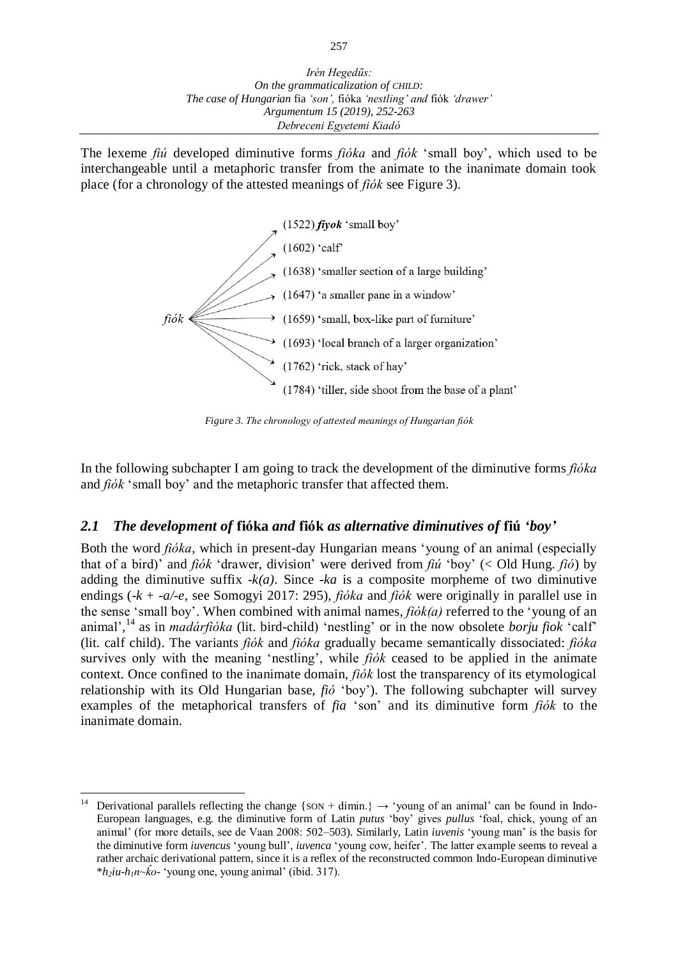The lexeme *fiú* developed diminutive forms *fióka* and *fiók* 'small boy', which used to be interchangeable until a metaphoric transfer from the animate to the inanimate domain took place (for a chronology of the attested meanings of *fiók* see Figure 3).



*Figure 3. The chronology of attested meanings of Hungarian fiók*

In the following subchapter I am going to track the development of the diminutive forms *fióka*  and *fiók* 'small boy' and the metaphoric transfer that affected them.

## *2.1 The development of* **fióka** *and* **fiók** *as alternative diminutives of* **fiú** *'boy'*

Both the word *fióka*, which in present-day Hungarian means 'young of an animal (especially that of a bird)' and *fiók* 'drawer, division' were derived from *fiú* 'boy' (< Old Hung. *fió*) by adding the diminutive suffix  $-k(a)$ . Since  $-ka$  is a composite morpheme of two diminutive endings (-*k* + *-a/-e*, see Somogyi 2017: 295), *fióka* and *fiók* were originally in parallel use in the sense 'small boy'. When combined with animal names, *fiók(a)* referred to the 'young of an animal', <sup>14</sup> as in *madárfióka* (lit. bird-child) 'nestling' or in the now obsolete *borju fiok* 'calf' (lit. calf child). The variants *fiók* and *fióka* gradually became semantically dissociated: *fióka*  survives only with the meaning 'nestling', while *fiók* ceased to be applied in the animate context. Once confined to the inanimate domain, *fiók* lost the transparency of its etymological relationship with its Old Hungarian base, *fió* 'boy'). The following subchapter will survey examples of the metaphorical transfers of *fia* 'son' and its diminutive form *fiók* to the inanimate domain.

 $\overline{a}$ Derivational parallels reflecting the change {SON + dimin.}  $\rightarrow$  'young of an animal' can be found in Indo-European languages, e.g. the diminutive form of Latin *putus* 'boy' gives *pullus* 'foal, chick, young of an animal' (for more details, see de Vaan 2008: 502–503). Similarly, Latin *iuvenis* 'young man' is the basis for the diminutive form *iuvencus* 'young bull', *iuvenca* 'young cow, heifer'. The latter example seems to reveal a rather archaic derivational pattern, since it is a reflex of the reconstructed common Indo-European diminutive  $*h_2$ *iu-h<sub>1</sub>n~ko*- 'young one, young animal' (ibid. 317).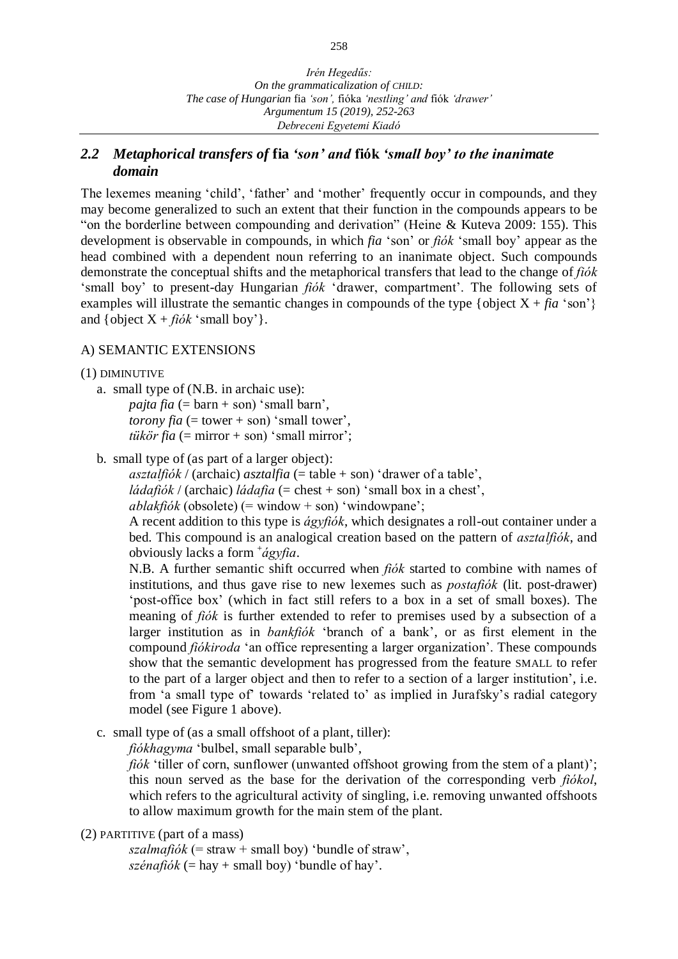## *2.2 Metaphorical transfers of* **fia** *'son' and* **fiók** *'small boy' to the inanimate domain*

The lexemes meaning 'child', 'father' and 'mother' frequently occur in compounds, and they may become generalized to such an extent that their function in the compounds appears to be "on the borderline between compounding and derivation" (Heine & Kuteva 2009: 155). This development is observable in compounds, in which *fia* 'son' or *fiók* 'small boy' appear as the head combined with a dependent noun referring to an inanimate object. Such compounds demonstrate the conceptual shifts and the metaphorical transfers that lead to the change of *fiók*  'small boy' to present-day Hungarian *fiók* 'drawer, compartment'. The following sets of examples will illustrate the semantic changes in compounds of the type  $\{ \text{object } X + \text{fia 'son'} \}$ and {object  $X + f i \delta k$  'small boy'}.

## A) SEMANTIC EXTENSIONS

#### (1) DIMINUTIVE

- a. small type of (N.B. in archaic use): *pajta fia*  $(=\text{barn} + \text{son})$  'small barn', *torony*  $\hat{a}$  (= tower + son) 'small tower', *tükör fia*  $(=$  mirror  $+$  son) 'small mirror';
- b. small type of (as part of a larger object):

*asztalfiók* / (archaic) *asztalfia* (= table + son) 'drawer of a table',

*ládafiók* / (archaic) *ládafia* (= chest + son) 'small box in a chest',

*ablakfiók* (obsolete) (= window + son) 'windowpane';

A recent addition to this type is *ágyfiók*, which designates a roll-out container under a bed. This compound is an analogical creation based on the pattern of *asztalfiók*, and obviously lacks a form <sup>+</sup> *ágyfia*.

N.B. A further semantic shift occurred when *fiók* started to combine with names of institutions, and thus gave rise to new lexemes such as *postafiók* (lit. post-drawer) 'post-office box' (which in fact still refers to a box in a set of small boxes). The meaning of *fiók* is further extended to refer to premises used by a subsection of a larger institution as in *bankfiók* 'branch of a bank', or as first element in the compound *fiókiroda* 'an office representing a larger organization'. These compounds show that the semantic development has progressed from the feature SMALL to refer to the part of a larger object and then to refer to a section of a larger institution', i.e. from 'a small type of' towards 'related to' as implied in Jurafsky's radial category model (see Figure 1 above).

c. small type of (as a small offshoot of a plant, tiller):

*fiókhagyma* 'bulbel, small separable bulb',

*fiók* 'tiller of corn, sunflower (unwanted offshoot growing from the stem of a plant)'; this noun served as the base for the derivation of the corresponding verb *fiókol*, which refers to the agricultural activity of singling, i.e. removing unwanted offshoots to allow maximum growth for the main stem of the plant.

(2) PARTITIVE (part of a mass)

 $szalmafiók (= straw + small boy) 'bundle of straw',$  $szénafiók (= hay + small boy)' bundle of hay'.$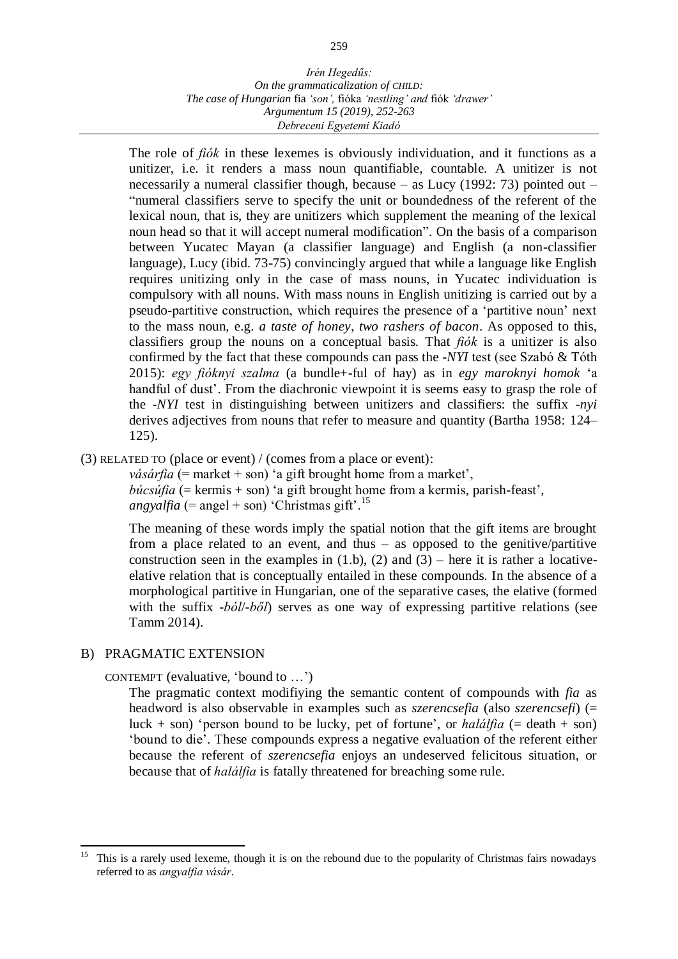The role of *fiók* in these lexemes is obviously individuation, and it functions as a unitizer, i.e. it renders a mass noun quantifiable, countable. A unitizer is not necessarily a numeral classifier though, because – as Lucy (1992: 73) pointed out – "numeral classifiers serve to specify the unit or boundedness of the referent of the lexical noun, that is, they are unitizers which supplement the meaning of the lexical noun head so that it will accept numeral modification". On the basis of a comparison between Yucatec Mayan (a classifier language) and English (a non-classifier language), Lucy (ibid. 73-75) convincingly argued that while a language like English requires unitizing only in the case of mass nouns, in Yucatec individuation is compulsory with all nouns. With mass nouns in English unitizing is carried out by a pseudo-partitive construction, which requires the presence of a 'partitive noun' next to the mass noun, e.g. *a taste of honey*, *two rashers of bacon*. As opposed to this, classifiers group the nouns on a conceptual basis. That *fiók* is a unitizer is also confirmed by the fact that these compounds can pass the *-NYI* test (see Szabó & Tóth 2015): *egy fióknyi szalma* (a bundle+-ful of hay) as in *egy maroknyi homok* 'a handful of dust'. From the diachronic viewpoint it is seems easy to grasp the role of the *-NYI* test in distinguishing between unitizers and classifiers: the suffix *-nyi* derives adjectives from nouns that refer to measure and quantity (Bartha 1958: 124– 125).

(3) RELATED TO (place or event) / (comes from a place or event):

*vásárfia* (= market + son) 'a gift brought home from a market', *búcsúfia* (= kermis + son) 'a gift brought home from a kermis, parish-feast', *angyalfia* (= angel + son) 'Christmas gift'. 15

The meaning of these words imply the spatial notion that the gift items are brought from a place related to an event, and thus – as opposed to the genitive/partitive construction seen in the examples in  $(1.b)$ ,  $(2)$  and  $(3)$  – here it is rather a locativeelative relation that is conceptually entailed in these compounds. In the absence of a morphological partitive in Hungarian, one of the separative cases, the elative (formed with the suffix *-ból*/*-ből*) serves as one way of expressing partitive relations (see Tamm 2014).

## B) PRAGMATIC EXTENSION

CONTEMPT (evaluative, 'bound to …')

The pragmatic context modifiying the semantic content of compounds with *fia* as headword is also observable in examples such as *szerencsefia* (also *szerencsefi*) (= luck  $+$  son) 'person bound to be lucky, pet of fortune', or *halálfia* ( $=$  death  $+$  son) 'bound to die'. These compounds express a negative evaluation of the referent either because the referent of *szerencsefia* enjoys an undeserved felicitous situation, or because that of *halálfia* is fatally threatened for breaching some rule.

<sup>15</sup> <sup>15</sup> This is a rarely used lexeme, though it is on the rebound due to the popularity of Christmas fairs nowadays referred to as *angyalfia vásár*.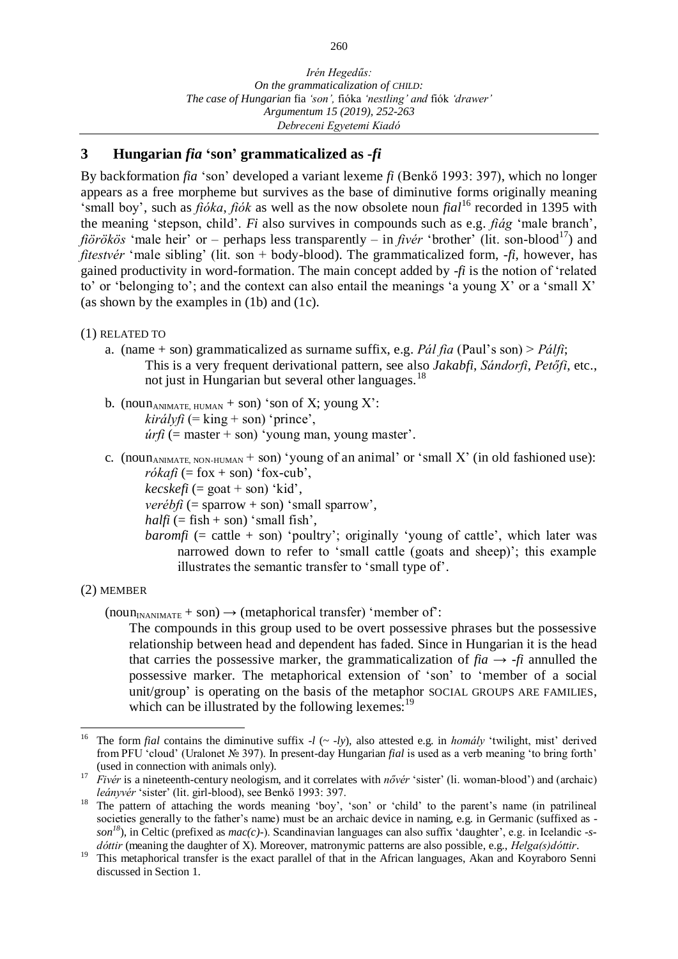## **3 Hungarian** *fia* **'son' grammaticalized as -***fi*

By backformation *fia* 'son' developed a variant lexeme *fi* (Benkő 1993: 397), which no longer appears as a free morpheme but survives as the base of diminutive forms originally meaning 'small boy', such as *fióka*, *fiók* as well as the now obsolete noun *fial*<sup>16</sup> recorded in 1395 with the meaning 'stepson, child'. *Fi* also survives in compounds such as e.g. *fiág* 'male branch', *fiörökös* 'male heir' or – perhaps less transparently – in *fivér* 'brother' (lit. son-blood<sup>17</sup>) and *fitestvér* 'male sibling' (lit. son + body-blood). The grammaticalized form, *-fi*, however, has gained productivity in word-formation. The main concept added by -*fi* is the notion of 'related to' or 'belonging to'; and the context can also entail the meanings 'a young X' or a 'small X' (as shown by the examples in (1b) and (1c).

#### (1) RELATED TO

- a. (name + son) grammaticalized as surname suffix, e.g. *Pál fia* (Paul's son) > *Pálfi*; This is a very frequent derivational pattern, see also *Jakabfi*, *Sándorfi*, *Petőfi*, etc., not just in Hungarian but several other languages.<sup>18</sup>
- b. (noun<sub>ANIMATE, HUMAN</sub> + son) 'son of X; young X':  $királyfi$  (= king + son) 'prince',  $úrfi$  (= master + son) 'young man, young master'.
- c. (noun<sub>ANIMATE, NON-HUMAN</sub> + son) 'young of an animal' or 'small X' (in old fashioned use):  $r\acute{o}k\acute{a}\acute{f}i$  (= fox + son) 'fox-cub',
	- $kecskefi$  (= goat + son) 'kid',

*verébfi* (= sparrow + son) 'small sparrow',

*halfi* ( $=$  fish  $+$  son) 'small fish',

*baromfi* (= cattle + son) 'poultry'; originally 'young of cattle', which later was narrowed down to refer to 'small cattle (goats and sheep)'; this example illustrates the semantic transfer to 'small type of'.

### (2) MEMBER

 $(noun<sub>INANIMATE</sub> + son) \rightarrow (metaphorical transfer) 'member of'.$ 

The compounds in this group used to be overt possessive phrases but the possessive relationship between head and dependent has faded. Since in Hungarian it is the head that carries the possessive marker, the grammaticalization of  $fia \rightarrow -f$  annulled the possessive marker. The metaphorical extension of 'son' to 'member of a social unit/group' is operating on the basis of the metaphor SOCIAL GROUPS ARE FAMILIES, which can be illustrated by the following lexemes:<sup>19</sup>

l <sup>16</sup> The form *fial* contains the diminutive suffix  $-l$  ( $\sim$  *-ly*), also attested e.g. in *homály* 'twilight, mist' derived from PFU 'cloud' (Uralonet № 397). In present-day Hungarian *fial* is used as a verb meaning 'to bring forth' (used in connection with animals only).

<sup>17</sup> *Fivér* is a nineteenth-century neologism, and it correlates with *nővér* 'sister' (li. woman-blood') and (archaic) *leányvér* 'sister' (lit. girl-blood), see Benkő 1993: 397.

<sup>&</sup>lt;sup>18</sup> The pattern of attaching the words meaning 'boy', 'son' or 'child' to the parent's name (in patrilineal societies generally to the father's name) must be an archaic device in naming, e.g. in Germanic (suffixed as *son <sup>18</sup>*), in Celtic (prefixed as *mac(c)-*). Scandinavian languages can also suffix 'daughter', e.g. in Icelandic *-sdóttir* (meaning the daughter of X). Moreover, matronymic patterns are also possible, e.g., *Helga(s)dóttir*.

<sup>&</sup>lt;sup>19</sup> This metaphorical transfer is the exact parallel of that in the African languages, Akan and Koyraboro Senni discussed in Section 1.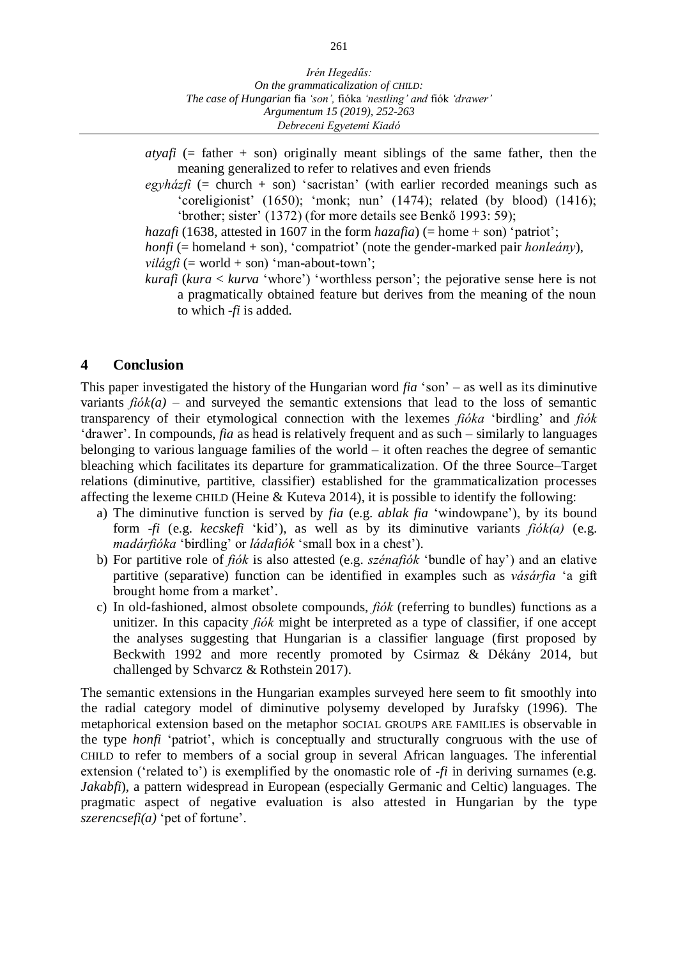*atyafi* (= father + son) originally meant siblings of the same father, then the meaning generalized to refer to relatives and even friends

 $egyh\acute{a}z\acute{t}i$  (= church + son) 'sacristan' (with earlier recorded meanings such as 'coreligionist' (1650); 'monk; nun' (1474); related (by blood) (1416); 'brother; sister' (1372) (for more details see Benkő 1993: 59);

*hazafi* (1638, attested in 1607 in the form *hazafia*) (= home + son) 'patriot';

*honfi* (= homeland + son), 'compatriot' (note the gender-marked pair *honleány*),

 $vil\acute{a}gfi$  (= world + son) 'man-about-town';

*kurafi* (*kura* < *kurva* 'whore') 'worthless person'; the pejorative sense here is not a pragmatically obtained feature but derives from the meaning of the noun to which *-fi* is added.

### **4 Conclusion**

This paper investigated the history of the Hungarian word *fia* 'son' – as well as its diminutive variants  $f\phi k(a)$  – and surveyed the semantic extensions that lead to the loss of semantic transparency of their etymological connection with the lexemes *fióka* 'birdling' and *fiók*  'drawer'. In compounds, *fia* as head is relatively frequent and as such – similarly to languages belonging to various language families of the world – it often reaches the degree of semantic bleaching which facilitates its departure for grammaticalization. Of the three Source–Target relations (diminutive, partitive, classifier) established for the grammaticalization processes affecting the lexeme CHILD (Heine & Kuteva 2014), it is possible to identify the following:

- a) The diminutive function is served by *fia* (e.g. *ablak fia* 'windowpane'), by its bound form -*fi* (e.g. *kecskefi* 'kid'), as well as by its diminutive variants *fiók(a)* (e.g. *madárfióka* 'birdling' or *ládafiók* 'small box in a chest').
- b) For partitive role of *fiók* is also attested (e.g. *szénafiók* 'bundle of hay') and an elative partitive (separative) function can be identified in examples such as *vásárfia* 'a gift brought home from a market'.
- c) In old-fashioned, almost obsolete compounds, *fiók* (referring to bundles) functions as a unitizer. In this capacity *fiók* might be interpreted as a type of classifier, if one accept the analyses suggesting that Hungarian is a classifier language (first proposed by Beckwith 1992 and more recently promoted by Csirmaz & Dékány 2014, but challenged by Schvarcz & Rothstein 2017).

The semantic extensions in the Hungarian examples surveyed here seem to fit smoothly into the radial category model of diminutive polysemy developed by Jurafsky (1996). The metaphorical extension based on the metaphor SOCIAL GROUPS ARE FAMILIES is observable in the type *honfi* 'patriot', which is conceptually and structurally congruous with the use of CHILD to refer to members of a social group in several African languages. The inferential extension ('related to') is exemplified by the onomastic role of *-fi* in deriving surnames (e.g. *Jakabfi*), a pattern widespread in European (especially Germanic and Celtic) languages. The pragmatic aspect of negative evaluation is also attested in Hungarian by the type *szerencsefi(a)* 'pet of fortune'.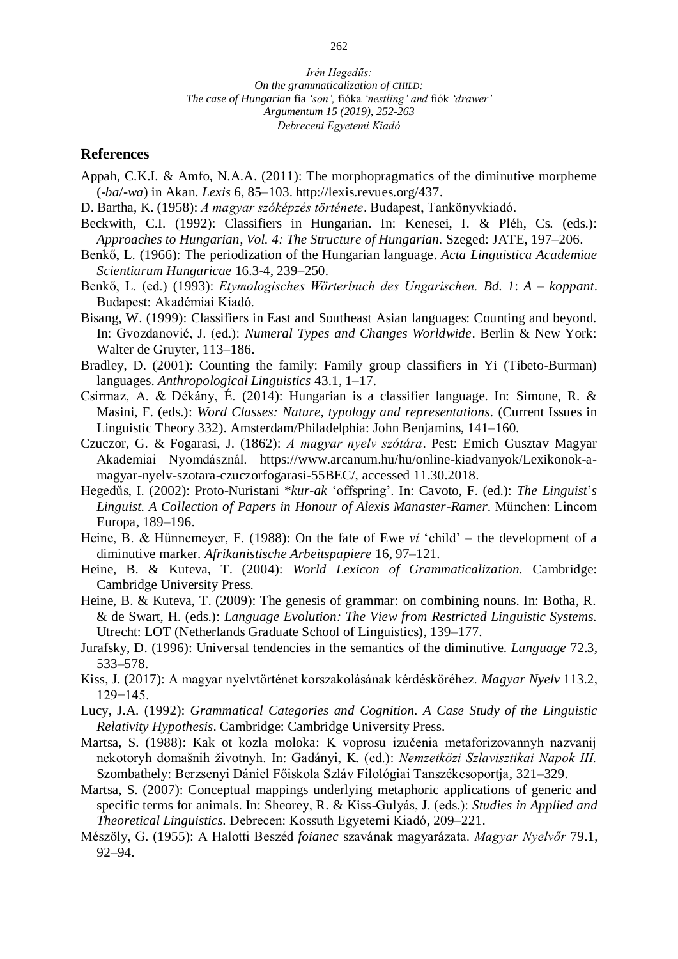#### **References**

- Appah, C.K.I. & Amfo, N.A.A. (2011): The morphopragmatics of the diminutive morpheme (-*ba*/-*wa*) in Akan. *Lexis* 6, 85–103. http://lexis.revues.org/437.
- D. Bartha, K. (1958): *A magyar szóképzés története*. Budapest, Tankönyvkiadó.
- Beckwith, C.I. (1992): Classifiers in Hungarian. In: Kenesei, I. & Pléh, Cs. (eds.): *Approaches to Hungarian, Vol. 4: The Structure of Hungarian.* Szeged: JATE, 197–206.
- Benkő, L. (1966): The periodization of the Hungarian language. *Acta Linguistica Academiae Scientiarum Hungaricae* 16.3-4, 239–250.
- Benkő, L. (ed.) (1993): *Etymologisches Wörterbuch des Ungarischen. Bd. 1*: *A koppant*. Budapest: Akadémiai Kiadó.
- Bisang, W. (1999): Classifiers in East and Southeast Asian languages: Counting and beyond. In: Gvozdanović, J. (ed.): *Numeral Types and Changes Worldwide*. Berlin & New York: Walter de Gruyter, 113–186.
- Bradley, D. (2001): Counting the family: Family group classifiers in Yi (Tibeto-Burman) languages. *Anthropological Linguistics* 43.1, 1–17.
- Csirmaz, A. & Dékány, É. (2014): Hungarian is a classifier language. In: Simone, R. & Masini, F. (eds.): *Word Classes: Nature, typology and representations.* (Current Issues in Linguistic Theory 332). Amsterdam/Philadelphia: John Benjamins, 141–160.
- Czuczor, G. & Fogarasi, J. (1862): *A magyar nyelv szótára*. Pest: Emich Gusztav Magyar Akademiai Nyomdásznál. https://www.arcanum.hu/hu/online-kiadvanyok/Lexikonok-amagyar-nyelv-szotara-czuczorfogarasi-55BEC/, accessed 11.30.2018.
- Hegedűs, I. (2002): Proto-Nuristani \**kur-ak* 'offspring'. In: Cavoto, F. (ed.): *The Linguist*'*s Linguist. A Collection of Papers in Honour of Alexis Manaster-Ramer*. München: Lincom Europa, 189–196.
- Heine, B. & Hünnemeyer, F. (1988): On the fate of Ewe *ví* 'child' the development of a diminutive marker. *Afrikanistische Arbeitspapiere* 16, 97–121.
- Heine, B. & Kuteva, T. (2004): *World Lexicon of Grammaticalization.* Cambridge: Cambridge University Press.
- Heine, B. & Kuteva, T. (2009): The genesis of grammar: on combining nouns. In: Botha, R. & de Swart, H. (eds.): *Language Evolution: The View from Restricted Linguistic Systems.*  Utrecht: LOT (Netherlands Graduate School of Linguistics), 139–177.
- Jurafsky, D. (1996): Universal tendencies in the semantics of the diminutive. *Language* 72.3, 533–578.
- Kiss, J. (2017): A magyar nyelvtörténet korszakolásának kérdésköréhez. *Magyar Nyelv* 113.2, 129−145.
- Lucy, J.A. (1992): *Grammatical Categories and Cognition. A Case Study of the Linguistic Relativity Hypothesis*. Cambridge: Cambridge University Press.
- Martsa, S. (1988): [Kak ot kozla moloka: K voprosu izučenia metaforizovannyh nazvanij](https://m2.mtmt.hu/gui2/?mode=browse¶ms=publication;1592947)  [nekotoryh domašnih životnyh.](https://m2.mtmt.hu/gui2/?mode=browse¶ms=publication;1592947) In: Gadányi, K. (ed.): *Nemzetközi Szlavisztikai Napok III.* Szombathely: Berzsenyi Dániel Főiskola Szláv Filológiai Tanszékcsoportja, 321–329.
- Martsa, S. (2007): Conceptual mappings underlying metaphoric applications of generic and specific terms for animals. In: Sheorey, R. & Kiss-Gulyás, J. (eds.): *Studies in Applied and Theoretical Linguistics.* Debrecen: Kossuth Egyetemi Kiadó, 209–221.
- Mészöly, G. (1955): A Halotti Beszéd *foianec* szavának magyarázata. *Magyar Nyelvőr* 79.1, 92–94.